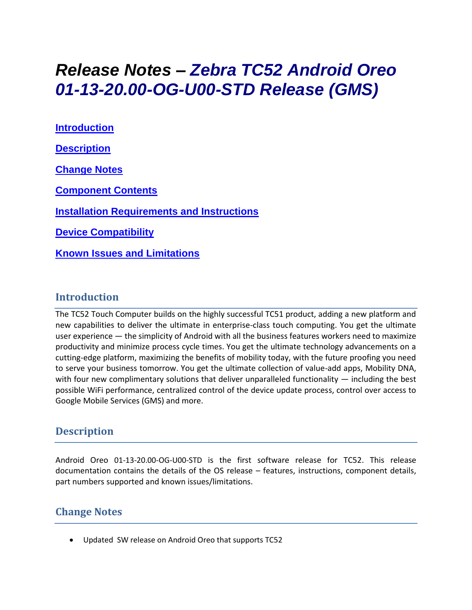# *Release Notes – Zebra TC52 Android Oreo 01-13-20.00-OG-U00-STD Release (GMS)*

**[Introduction](#page-0-0) [Description](#page-0-1) [Change Notes](#page-0-2) [Component Contents](#page-1-0) [Installation Requirements](#page-2-0) and Instructions [Device Compatibility](#page-2-1) Known [Issues and Limitations](#page-3-0)**

#### <span id="page-0-0"></span>**Introduction**

<span id="page-0-1"></span>The TC52 Touch Computer builds on the highly successful TC51 product, adding a new platform and new capabilities to deliver the ultimate in enterprise-class touch computing. You get the ultimate user experience — the simplicity of Android with all the business features workers need to maximize productivity and minimize process cycle times. You get the ultimate technology advancements on a cutting-edge platform, maximizing the benefits of mobility today, with the future proofing you need to serve your business tomorrow. You get the ultimate collection of value-add apps, Mobility DNA, with four new complimentary solutions that deliver unparalleled functionality  $-$  including the best possible WiFi performance, centralized control of the device update process, control over access to Google Mobile Services (GMS) and more.

## **Description**

Android Oreo 01-13-20.00-OG-U00-STD is the first software release for TC52. This release documentation contains the details of the OS release – features, instructions, component details, part numbers supported and known issues/limitations.

#### <span id="page-0-2"></span>**Change Notes**

• Updated SW release on Android Oreo that supports TC52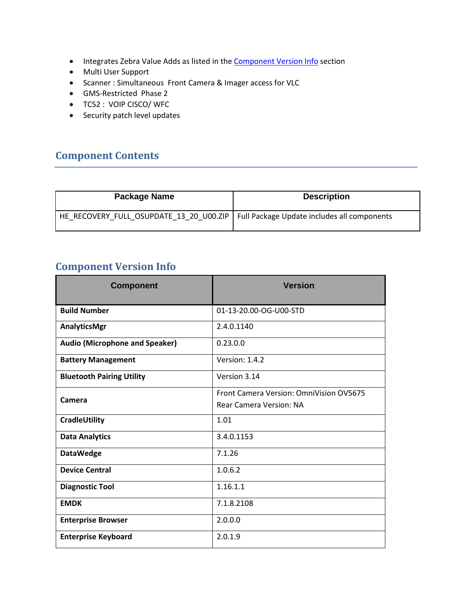- Integrates Zebra Value Adds as listed in the **Component Version Info** section
- Multi User Support
- Scanner : Simultaneous Front Camera & Imager access for VLC
- GMS-Restricted Phase 2
- TC52 : VOIP CISCO/ WFC
- Security patch level updates

#### <span id="page-1-0"></span>**Component Contents**

| Package Name                                                                          | <b>Description</b> |
|---------------------------------------------------------------------------------------|--------------------|
| HE_RECOVERY_FULL_OSUPDATE_13_20_U00.ZIP   Full Package Update includes all components |                    |

## <span id="page-1-1"></span>**Component Version Info**

| <b>Component</b>                      | <b>Version</b>                                                            |
|---------------------------------------|---------------------------------------------------------------------------|
| <b>Build Number</b>                   | 01-13-20.00-OG-U00-STD                                                    |
| AnalyticsMgr                          | 2.4.0.1140                                                                |
| <b>Audio (Microphone and Speaker)</b> | 0.23.0.0                                                                  |
| <b>Battery Management</b>             | Version: 1.4.2                                                            |
| <b>Bluetooth Pairing Utility</b>      | Version 3.14                                                              |
| Camera                                | Front Camera Version: OmniVision OV5675<br><b>Rear Camera Version: NA</b> |
| CradleUtility                         | 1.01                                                                      |
| <b>Data Analytics</b>                 | 3.4.0.1153                                                                |
| <b>DataWedge</b>                      | 7.1.26                                                                    |
| <b>Device Central</b>                 | 1.0.6.2                                                                   |
| <b>Diagnostic Tool</b>                | 1.16.1.1                                                                  |
| <b>EMDK</b>                           | 7.1.8.2108                                                                |
| <b>Enterprise Browser</b>             | 2.0.0.0                                                                   |
| <b>Enterprise Keyboard</b>            | 2.0.1.9                                                                   |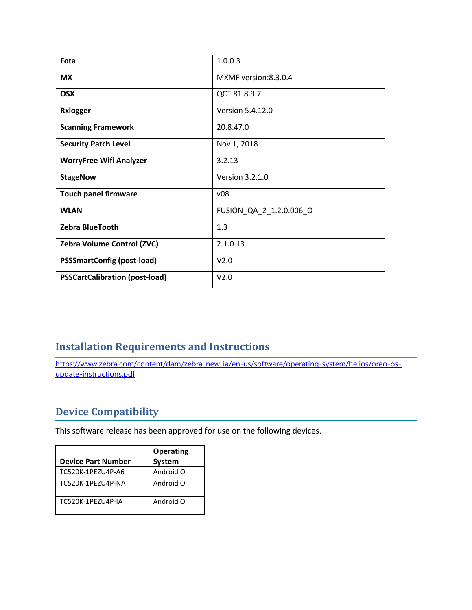| Fota                                  | 1.0.0.3                 |
|---------------------------------------|-------------------------|
| <b>MX</b>                             | MXMF version: 8.3.0.4   |
| <b>OSX</b>                            | QCT.81.8.9.7            |
| <b>Rxlogger</b>                       | Version 5.4.12.0        |
| <b>Scanning Framework</b>             | 20.8.47.0               |
| <b>Security Patch Level</b>           | Nov 1, 2018             |
| <b>WorryFree Wifi Analyzer</b>        | 3.2.13                  |
| <b>StageNow</b>                       | Version 3.2.1.0         |
| <b>Touch panel firmware</b>           | v08                     |
| <b>WLAN</b>                           | FUSION_QA_2_1.2.0.006_O |
| Zebra BlueTooth                       | 1.3                     |
| Zebra Volume Control (ZVC)            | 2.1.0.13                |
| <b>PSSSmartConfig (post-load)</b>     | V2.0                    |
| <b>PSSCartCalibration (post-load)</b> | V <sub>2.0</sub>        |

# <span id="page-2-0"></span>**Installation Requirements and Instructions**

[https://www.zebra.com/content/dam/zebra\\_new\\_ia/en-us/software/operating-system/helios/oreo-os](https://www.zebra.com/content/dam/zebra_new_ia/en-us/software/operating-system/helios/oreo-os-update-instructions.pdf)[update-instructions.pdf](https://www.zebra.com/content/dam/zebra_new_ia/en-us/software/operating-system/helios/oreo-os-update-instructions.pdf)

# <span id="page-2-1"></span>**Device Compatibility**

This software release has been approved for use on the following devices.

|                           | <b>Operating</b> |
|---------------------------|------------------|
| <b>Device Part Number</b> | <b>System</b>    |
| TC520K-1PEZU4P-A6         | Android O        |
| TC520K-1PF7U4P-NA         | Android O        |
| TC520K-1PF7U4P-IA         | Android O        |